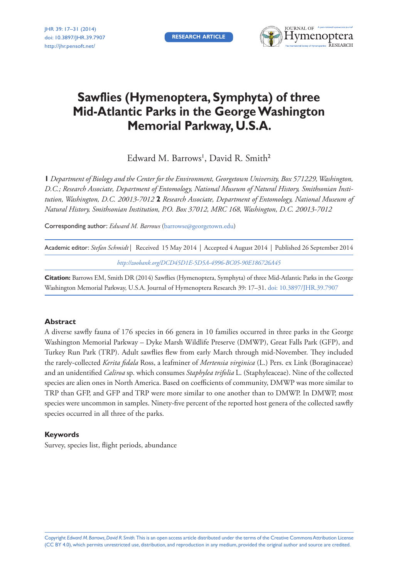**RESEARCH ARTICLE**



# **Sawflies (Hymenoptera, Symphyta) of three Mid-Atlantic Parks in the George Washington Memorial Parkway, U.S.A.**

Edward M. Barrows<sup>1</sup>, David R. Smith<sup>2</sup>

**1** *Department of Biology and the Center for the Environment, Georgetown University, Box 571229, Washington, D.C.; Research Associate, Department of Entomology, National Museum of Natural History, Smithsonian Institution, Washington, D.C. 20013-7012* **2** *Research Associate, Department of Entomology, National Museum of Natural History, Smithsonian Institution, P.O. Box 37012, MRC 168, Washington, D.C. 20013-7012*

Corresponding author: *Edward M. Barrows* ([barrowse@georgetown.edu\)](mailto:barrowse@georgetown.edu)

Academic editor: *Stefan Schmidt* | Received 15 May 2014 | Accepted 4 August 2014 | Published 26 September 2014

*<http://zoobank.org/DCD45D1E-5D5A-4996-BC05-90E186726A45>*

**Citation:** Barrows EM, Smith DR (2014) Sawflies (Hymenoptera, Symphyta) of three Mid-Atlantic Parks in the George Washington Memorial Parkway, U.S.A. Journal of Hymenoptera Research 39: 17–31. [doi: 10.3897/JHR.39.7907](http://dx.doi.org/10.3897/JHR.39.7907)

### **Abstract**

A diverse sawfly fauna of 176 species in 66 genera in 10 families occurred in three parks in the George Washington Memorial Parkway – Dyke Marsh Wildlife Preserve (DMWP), Great Falls Park (GFP), and Turkey Run Park (TRP). Adult sawflies flew from early March through mid-November. They included the rarely-collected *Kerita fidala* Ross, a leafminer of *Mertensia virginica* (L.) Pers. ex Link (Boraginaceae) and an unidentified *Caliroa* sp. which consumes *Staphylea trifolia* L. (Staphyleaceae). Nine of the collected species are alien ones in North America. Based on coefficients of community, DMWP was more similar to TRP than GFP, and GFP and TRP were more similar to one another than to DMWP. In DMWP, most species were uncommon in samples. Ninety-five percent of the reported host genera of the collected sawfly species occurred in all three of the parks.

### **Keywords**

Survey, species list, flight periods, abundance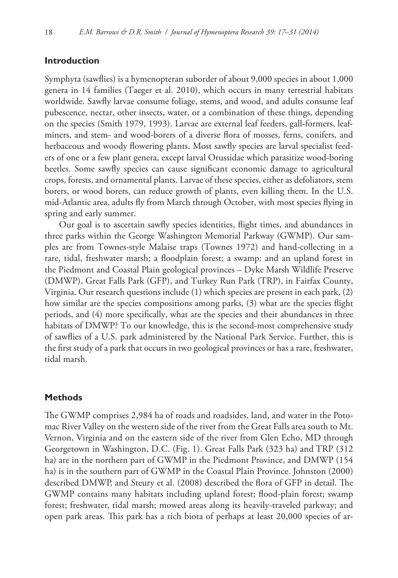## **Introduction**

Symphyta (sawflies) is a hymenopteran suborder of about 9,000 species in about 1,000 genera in 14 families (Taeger et al. 2010), which occurs in many terrestrial habitats worldwide. Sawfly larvae consume foliage, stems, and wood, and adults consume leaf pubescence, nectar, other insects, water, or a combination of these things, depending on the species (Smith 1979, 1993). Larvae are external leaf feeders, gall-formers, leafminers, and stem- and wood-borers of a diverse flora of mosses, ferns, conifers, and herbaceous and woody flowering plants. Most sawfly species are larval specialist feeders of one or a few plant genera, except larval Orussidae which parasitize wood-boring beetles. Some sawfly species can cause significant economic damage to agricultural crops, forests, and ornamental plants. Larvae of these species, either as defoliators, stem borers, or wood borers, can reduce growth of plants, even killing them. In the U.S. mid-Atlantic area, adults fly from March through October, with most species flying in spring and early summer.

Our goal is to ascertain sawfly species identities, flight times, and abundances in three parks within the George Washington Memorial Parkway (GWMP). Our samples are from Townes-style Malaise traps (Townes 1972) and hand-collecting in a rare, tidal, freshwater marsh; a floodplain forest; a swamp; and an upland forest in the Piedmont and Coastal Plain geological provinces – Dyke Marsh Wildlife Preserve (DMWP), Great Falls Park (GFP), and Turkey Run Park (TRP), in Fairfax County, Virginia. Our research questions include (1) which species are present in each park, (2) how similar are the species compositions among parks, (3) what are the species flight periods, and (4) more specifically, what are the species and their abundances in three habitats of DMWP? To our knowledge, this is the second-most comprehensive study of sawflies of a U.S. park administered by the National Park Service. Further, this is the first study of a park that occurs in two geological provinces or has a rare, freshwater, tidal marsh.

# **Methods**

The GWMP comprises 2,984 ha of roads and roadsides, land, and water in the Potomac River Valley on the western side of the river from the Great Falls area south to Mt. Vernon, Virginia and on the eastern side of the river from Glen Echo, MD through Georgetown in Washington, D.C. (Fig. 1). Great Falls Park (323 ha) and TRP (312 ha) are in the northern part of GWMP in the Piedmont Province, and DMWP (154 ha) is in the southern part of GWMP in the Coastal Plain Province. Johnston (2000) described DMWP, and Steury et al. (2008) described the flora of GFP in detail. The GWMP contains many habitats including upland forest; flood-plain forest; swamp forest; freshwater, tidal marsh; mowed areas along its heavily-traveled parkway; and open park areas. This park has a rich biota of perhaps at least 20,000 species of ar-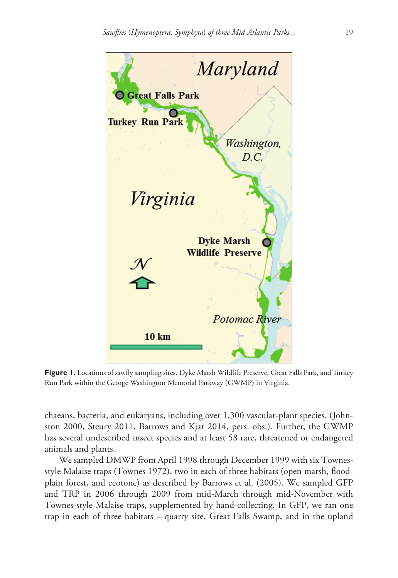

**Figure 1.** Locations of sawfly sampling sites. Dyke Marsh Wildlife Preserve, Great Falls Park, and Turkey Run Park within the George Washington Memorial Parkway (GWMP) in Virginia.

chaeans, bacteria, and eukaryans, including over 1,300 vascular-plant species. (Johnston 2000, Steury 2011, Barrows and Kjar 2014, pers. obs.). Further, the GWMP has several undescribed insect species and at least 58 rare, threatened or endangered animals and plants.

We sampled DMWP from April 1998 through December 1999 with six Townesstyle Malaise traps (Townes 1972), two in each of three habitats (open marsh, floodplain forest, and ecotone) as described by Barrows et al. (2005). We sampled GFP and TRP in 2006 through 2009 from mid-March through mid-November with Townes-style Malaise traps, supplemented by hand-collecting. In GFP, we ran one trap in each of three habitats – quarry site, Great Falls Swamp, and in the upland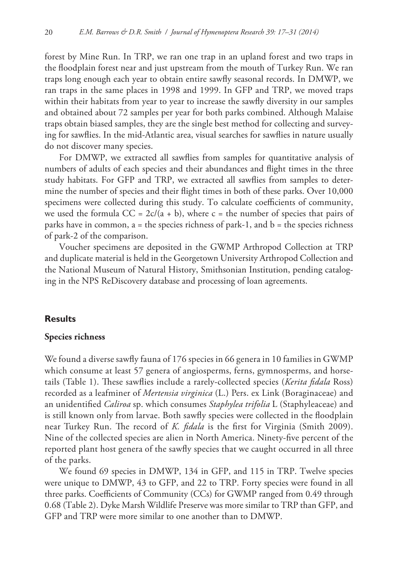forest by Mine Run. In TRP, we ran one trap in an upland forest and two traps in the floodplain forest near and just upstream from the mouth of Turkey Run. We ran traps long enough each year to obtain entire sawfly seasonal records. In DMWP, we ran traps in the same places in 1998 and 1999. In GFP and TRP, we moved traps within their habitats from year to year to increase the sawfly diversity in our samples and obtained about 72 samples per year for both parks combined. Although Malaise traps obtain biased samples, they are the single best method for collecting and surveying for sawflies. In the mid-Atlantic area, visual searches for sawflies in nature usually do not discover many species.

For DMWP, we extracted all sawflies from samples for quantitative analysis of numbers of adults of each species and their abundances and flight times in the three study habitats. For GFP and TRP, we extracted all sawflies from samples to determine the number of species and their flight times in both of these parks. Over 10,000 specimens were collected during this study. To calculate coefficients of community, we used the formula  $CC = 2c/(a + b)$ , where  $c =$  the number of species that pairs of parks have in common,  $a =$  the species richness of park-1, and  $b =$  the species richness of park-2 of the comparison.

Voucher specimens are deposited in the GWMP Arthropod Collection at TRP and duplicate material is held in the Georgetown University Arthropod Collection and the National Museum of Natural History, Smithsonian Institution, pending cataloging in the NPS ReDiscovery database and processing of loan agreements.

### **Results**

#### **Species richness**

We found a diverse sawfly fauna of 176 species in 66 genera in 10 families in GWMP which consume at least 57 genera of angiosperms, ferns, gymnosperms, and horsetails (Table 1). These sawflies include a rarely-collected species (*Kerita fidala* Ross) recorded as a leafminer of *Mertensia virginica* (L.) Pers. ex Link (Boraginaceae) and an unidentified *Caliroa* sp. which consumes *Staphylea trifolia* L (Staphyleaceae) and is still known only from larvae. Both sawfly species were collected in the floodplain near Turkey Run. The record of *K. fidala* is the first for Virginia (Smith 2009). Nine of the collected species are alien in North America. Ninety-five percent of the reported plant host genera of the sawfly species that we caught occurred in all three of the parks.

We found 69 species in DMWP, 134 in GFP, and 115 in TRP. Twelve species were unique to DMWP, 43 to GFP, and 22 to TRP. Forty species were found in all three parks. Coefficients of Community (CCs) for GWMP ranged from 0.49 through 0.68 (Table 2). Dyke Marsh Wildlife Preserve was more similar to TRP than GFP, and GFP and TRP were more similar to one another than to DMWP.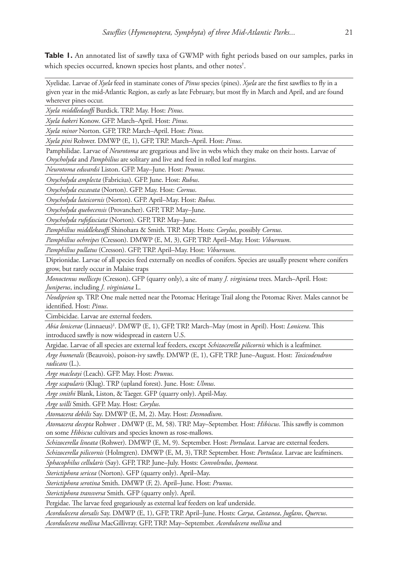**Table 1.** An annotated list of sawfly taxa of GWMP with fight periods based on our samples, parks in which species occurred, known species host plants, and other notes† .

Xyelidae. Larvae of *Xyela* feed in staminate cones of *Pinus* species (pines). *Xyela* are the first sawflies to fly in a given year in the mid-Atlantic Region, as early as late February, but most fly in March and April, and are found wherever pines occur.

*Xyela middledauffi* Burdick. TRP. May. Host: *Pinus*.

*Xyela bakeri* Konow. GFP. March–April. Host: *Pinus*.

*Xyela minor* Norton. GFP, TRP. March–April. Host: *Pinus*.

*Xyela pini* Rohwer. DMWP (E, 1), GFP, TRP. March–April. Host: *Pinus*.

Pamphilidae. Larvae of *Neurotoma* are gregarious and live in webs which they make on their hosts. Larvae of *Onycholyda* and *Pamphilius* are solitary and live and feed in rolled leaf margins.

*Neurotoma edwardsi* Liston. GFP. May–June. Host: *Prunus*.

*Onycholyda amplecta* (Fabricius). GFP. June. Host: *Rubus*.

*Onycholyda excavata* (Norton). GFP. May. Host: *Cornus*.

*Onycholyda luteicornis* (Norton). GFP. April–May. Host: *Rubus*.

*Onycholyda quebecensis* (Provancher). GFP, TRP. May–June.

*Onycholyda rufofasciata* (Norton). GFP, TRP. May–June.

*Pamphilius middlekauffi* Shinohara & Smith. TRP. May. Hosts: *Corylus*, possibly *Cornus*.

*Pamphilius ochreipes* (Cresson). DMWP (E, M, 3), GFP, TRP. April–May. Host: *Viburnum*.

*Pamphilius pullatus* (Cresson). GFP, TRP. April–May. Host: *Viburnum*.

Diprionidae. Larvae of all species feed externally on needles of conifers. Species are usually present where conifers grow, but rarely occur in Malaise traps

*Monoctenus melliceps* (Cresson). GFP (quarry only), a site of many *J. virginiana* trees. March–April. Host: *Juniperus*, including *J. virginiana* L.

*Neodiprion* sp. TRP. One male netted near the Potomac Heritage Trail along the Potomac River. Males cannot be identified. Host: *Pinus*.

Cimbicidae. Larvae are external feeders.

*Abia lonicerae* (Linnaeus)‡ . DMWP (E, 1), GFP, TRP. March–May (most in April). Host: *Lonicera*. This introduced sawfly is now widespread in eastern U.S.

Argidae. Larvae of all species are external leaf feeders, except *Schizocerella pilicornis* which is a leafminer.

*Arge humeralis* (Beauvois), poison-ivy sawfly. DMWP (E, 1), GFP, TRP. June–August. Host: *Toxicodendron radicans* (L.).

*Arge macleayi* (Leach). GFP. May. Host: *Prunus*.

*Arge scapularis* (Klug). TRP (upland forest). June. Host: *Ulmus*.

*Arge smithi* Blank, Liston, & Taeger. GFP (quarry only). April-May.

*Arge willi* Smith. GFP. May. Host: *Corylus*.

*Atomacera debilis* Say. DMWP (E, M, 2). May. Host: *Desmodium*.

*Atomacera decepta* Rohwer . DMWP (E, M, 58). TRP. May–September. Host: *Hibiscus*. This sawfly is common on some *Hibiscus* cultivars and species known as rose-mallows.

*Schizocerella lineata* (Rohwer). DMWP (E, M, 9). September. Host: *Portulaca*. Larvae are external feeders.

*Schizocerella pilicornis* (Holmgren). DMWP (E, M, 3), TRP. September. Host: *Portulaca*. Larvae are leafminers.

*Sphacophilus cellularis* (Say). GFP, TRP. June–July. Hosts: *Convolvulus*, *Ipomoea.*

*Sterictiphora sericea* (Norton). GFP (quarry only). April–May.

*Sterictiphora serotina* Smith. DMWP (F, 2). April–June. Host: *Prunus*.

*Sterictiphora transversa* Smith. GFP (quarry only). April.

Pergidae. The larvae feed gregariously as external leaf feeders on leaf underside.

*Acordulecera dorsalis* Say. DMWP (E, 1), GFP, TRP. April–June. Hosts: *Carya*, *Castanea*, *Juglans*, *Quercus*.

*Acordulecera mellina* MacGillivray. GFP, TRP. May–September. *Acordulecera mellina* and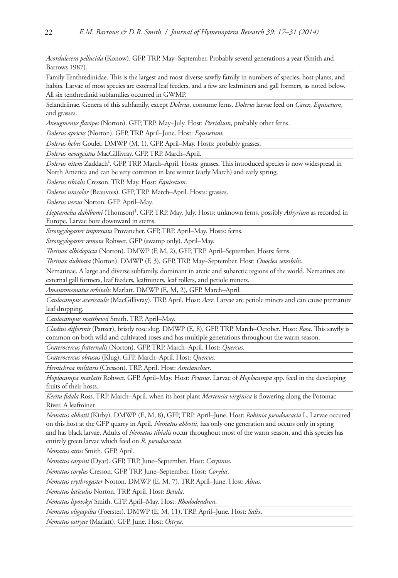*Acordulecera pellucida* (Konow). GFP, TRP. May–September. Probably several generations a year (Smith and Barrows 1987).

Family Tenthredinidae. This is the largest and most diverse sawfly family in numbers of species, host plants, and habits. Larvae of most species are external leaf feeders, and a few are leafminers and gall formers, as noted below. All six tenthredinid subfamilies occurred in GWMP.

Selandriinae. Genera of this subfamily, except *Dolerus*, consume ferns. *Dolerus* larvae feed on *Carex*, *Equisetum*, and grasses.

*Aneugmenus flavipes* (Norton). GFP, TRP. May–July. Host: *Pteridium*, probably other ferns.

*Dolerus apricus* (Norton). GFP, TRP. April–June. Host: *Equisetum*.

*Dolerus hebes* Goulet. DMWP (M, 1), GFP. April–May. Hosts: probably grasses.

*Dolerus neoagcistus* MacGillivray. GFP, TRP. March–April.

*Dolerus nitens* Zaddach‡ . GFP, TRP. March–April. Hosts: grasses. This introduced species is now widespread in North America and can be very common in late winter (early March) and early spring.

*Dolerus tibialis* Cresson. TRP. May. Host: *Equisetum*.

*Dolerus unicolor* (Beauvois). GFP, TRP. March–April. Hosts: grasses.

*Dolerus versus* Norton. GFP. April–May.

*Heptamelus dahlbomi* (Thomson)‡ . GFP, TRP. May, July. Hosts: unknown ferns, possibly *Athyrium* as recorded in Europe. Larvae bore downward in stems.

*Strongylogaster impressata* Provancher. GFP, TRP. April–May. Hosts: ferns.

*Strongylogaster remota* Rohwer. GFP (swamp only). April–May.

*Thrinax albidopicta* (Norton). DMWP (F, M, 2), GFP, TRP. April–September. Hosts: ferns.

*Thrinax dubitata* (Norton). DMWP (F, 3), GFP, TRP. May–September. Host: *Onoclea sensibilis*.

Nematinae. A large and diverse subfamily, dominant in arctic and subarctic regions of the world. Nematines are external gall formers, leaf feeders, leafminers, leaf rollers, and petiole miners.

*Amauronematus orbitalis* Marlatt. DMWP (E, M, 2), GFP. March–April.

*Caulocampus acericaulis* (MacGillivray). TRP. April. Host: *Acer*. Larvae are petiole miners and can cause premature leaf dropping.

*Caulocampus matthewsi* Smith. TRP. April–May.

*Cladius difformis* (Panzer), bristly rose slug. DMWP (E, 8), GFP, TRP. March–October. Host: *Rosa*. This sawfly is common on both wild and cultivated roses and has multiple generations throughout the warm season.

*Craterocercus fraternalis* (Norton). GFP, TRP. March–April. Host: *Quercus*.

*Craterocercus obtusus* (Klug). GFP. March–April. Host: *Quercus*.

*Hemichroa militaris* (Cresson). TRP. April. Host: *Amelanchier*.

*Hoplocampa marlatti* Rohwer. GFP. April–May. Host: *Prunus*. Larvae of *Hoplocampa* spp. feed in the developing fruits of their hosts.

*Kerita fidala* Ross. TRP. March–April, when its host plant *Mertensia virginica* is flowering along the Potomac River. A leafminer.

*Nematus abbotii* (Kirby). DMWP (E, M, 8), GFP, TRP. April–June. Host: *Robinia pseudoacacia* L. Larvae occured on this host at the GFP quarry in April. *Nematus abbotii*, has only one generation and occurs only in spring and has black larvae. Adults of *Nematus tibialis* occur throughout most of the warm season, and this species has entirely green larvae which feed on *R. pseudoacacia*.

*Nematus attus* Smith. GFP. April.

*Nematus carpini* (Dyar). GFP, TRP. June–September. Host: *Carpinus*.

*Nematus corylus* Cresson. GFP, TRP. June–September. Host: *Corylus*.

*Nematus erythrogaster* Norton. DMWP (E, M, 7), TRP. April–June. Host: *Alnus*.

*Nematus laticulus* Norton. TRP. April. Host: *Betula*.

*Nematus lipovskyi* Smith. GFP. April–May. Host: *Rhododendron*.

*Nematus oligospilus* (Foerster). DMWP (E, M, 11), TRP. April–June. Host: *Salix*.

*Nematus ostryae* (Marlatt). GFP, June. Host: *Ostrya*.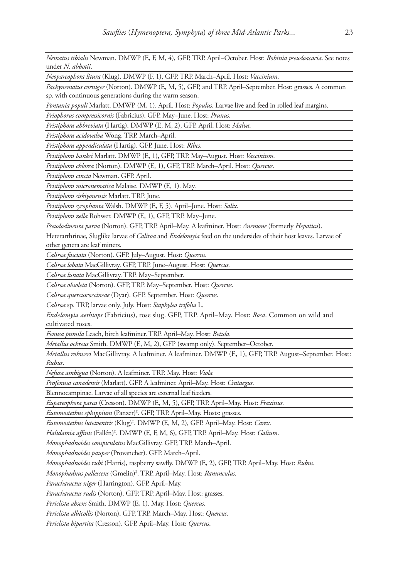*Nematus tibialis* Newman. DMWP (E, F, M, 4), GFP, TRP. April–October. Host: *Robinia pseudoacacia*. See notes under *N. abbotii*.

*Neopareophora litura* (Klug). DMWP (F, 1), GFP, TRP. March–April. Host: *Vaccinium*.

*Pachynematus corniger* (Norton). DMWP (E, M, 5), GFP, and TRP. April–September. Host: grasses. A common sp. with continuous generations during the warm season.

*Pontania populi* Marlatt. DMWP (M, 1). April. Host: *Populus*. Larvae live and feed in rolled leaf margins.

*Priophorus compressicornis* (Fabricius). GFP. May–June. Host: *Prunus*.

*Pristiphora abbreviata* (Hartig). DMWP (E, M, 2), GFP. April. Host: *Malva*.

*Pristiphora acidovalva* Wong. TRP. March–April.

*Pristiphora appendiculata* (Hartig). GFP. June. Host: *Ribes*.

*Pristiphora banksi* Marlatt. DMWP (E, 1), GFP, TRP. May–August. Host: *Vaccinium*.

*Pristiphora chlorea* (Norton). DMWP (E, 1), GFP, TRP. March–April. Host: *Quercus*.

*Pristiphora cincta* Newman. GFP. April.

*Pristiphora micronematica* Malaise. DMWP (E, 1). May.

*Pristiphora siskiyouensis* Marlatt. TRP. June.

*Pristiphora sycophanta* Walsh. DMWP (E, F, 5). April–June. Host: *Salix*.

*Pristiphora zella* Rohwer. DMWP (E, 1), GFP, TRP. May–June.

*Pseudodineura parva* (Norton). GFP, TRP. April–May. A leafminer. Host: *Anemone* (formerly *Hepatica*).

Heterarthrinae, Sluglike larvae of *Caliroa* and *Endelomyia* feed on the undersides of their host leaves. Larvae of other genera are leaf miners.

*Caliroa fasciata* (Norton). GFP. July–August. Host: *Quercus*.

*Caliroa lobata* MacGillivray. GFP, TRP. June–August. Host: *Quercus*.

*Caliroa lunata* MacGillivray. TRP. May–September.

*Caliroa obsoleta* (Norton). GFP, TRP. May–September. Host: *Quercus*.

*Caliroa quercuscoccineae* (Dyar). GFP. September. Host: *Quercus*.

*Caliroa* sp. TRP, larvae only. July. Host: *Staphylea trifolia* L.

*Endelomyia aethiops* (Fabricius), rose slug. GFP, TRP. April–May. Host: *Rosa*. Common on wild and cultivated roses.

*Fenusa pumila* Leach, birch leafminer. TRP. April–May. Host: *Betula*.

*Metallus ochreus* Smith. DMWP (E, M, 2), GFP (swamp only). September–October.

*Metallus rohweri* MacGillivray. A leafminer. A leafminer. DMWP (E, 1), GFP, TRP. August–September. Host: *Rubus*.

*Nefusa ambigua* (Norton). A leafminer. TRP. May. Host: *Viola*

*Profenusa canadensis* (Marlatt). GFP. A leafminer. April–May. Host: *Crataegus*.

Blennocampinae. Larvae of all species are external leaf feeders.

*Eupareophora parca* (Cresson). DMWP (E, M, 5), GFP, TRP. April–May. Host: *Fraxinus*.

*Eutomostethus ephippium* (Panzer)‡ . GFP, TRP. April–May. Hosts: grasses.

*Eutomostethus luteiventris* (Klug)‡ . DMWP (E, M, 2), GFP. April–May. Host: *Carex*.

*Halidamia affinis* (Fallén)‡ . DMWP (E, F, M, 6), GFP, TRP. April–May. Host: *Galium*.

*Monophadnoides conspiculatus* MacGillivray. GFP, TRP. March–April.

*Monophadnoides pauper* (Provancher). GFP. March–April.

*Monophadnoides rubi* (Harris), raspberry sawfly. DMWP (E, 2), GFP, TRP. April–May. Host: *Rubus*.

*Monophadnus pallescens* (Gmelin)‡ . TRP. April–May. Host: *Ranunculus*.

*Paracharactus niger* (Harrington). GFP. April–May.

*Paracharactus rudis* (Norton). GFP, TRP. April–May. Host: grasses.

*Periclista absens* Smith. DMWP (E, 1). May. Host: *Quercus*.

*Periclista albicollis* (Norton). GFP, TRP. March–May. Host: *Quercus*.

*Periclista bipartita* (Cresson). GFP. April–May. Host: *Quercus*.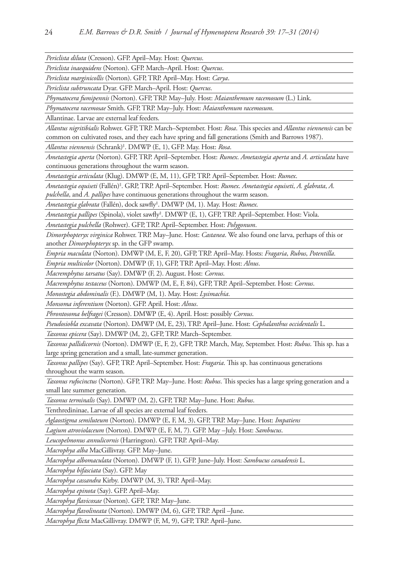*Periclista diluta* (Cresson). GFP. April–May. Host: *Quercus*.

*Periclista inaequidens* (Norton). GFP. March–April. Host: *Quercus*.

*Periclista marginicollis* (Norton). GFP, TRP. April–May. Host: *Carya*.

*Periclista subtruncata* Dyar. GFP. March–April. Host: *Quercus*.

*Phymatocera fumipennis* (Norton). GFP, TRP. May–July. Host: *Maianthemum racemosum* (L.) Link.

*Phymatocera racemosae* Smith. GFP, TRP. May–July. Host: *Maianthemum racemosum*.

Allantinae. Larvae are external leaf feeders.

*Allantus nigritibialis* Rohwer. GFP, TRP. March–September. Host: *Rosa*. This species and *Allantus viennensis* can be common on cultivated roses, and they each have spring and fall generations (Smith and Barrows 1987).

*Allantus viennensis* (Schrank)‡ . DMWP (E, 1), GFP. May. Host: *Rosa*.

*Ametastegia aperta* (Norton). GFP, TRP. April–September. Host: *Rumex*. *Ametastegia aperta* and *A. articulata* have continuous generations throughout the warm season.

*Ametastegia articulata* (Klug). DMWP (E, M, 11), GFP, TRP. April–September. Host: *Rumex*.

*Ametastegia equiseti* (Fallén)‡ . GRP, TRP. April–September. Host: *Rumex*. *Ametastegia equiseti*, *A. glabrata*, *A.* 

*pulchella*, and *A. pallipes* have continuous generations throughout the warm season.

*Ametastegia glabrata* (Fallén), dock sawfly‡ . DMWP (M, 1). May. Host: *Rumex.*

*Ametastegia pallipes* (Spinola), violet sawfly‡ . DMWP (E, 1), GFP, TRP. April–September. Host: Viola.

*Ametastegia pulchella* (Rohwer). GFP, TRP. April–September. Host: *Polygonum*.

*Dimorphopteryx virginica* Rohwer. TRP. May–June. Host: *Castanea*. We also found one larva, perhaps of this or another *Dimorphopteryx* sp. in the GFP swamp.

*Empria maculata* (Norton). DMWP (M, E, F, 20), GFP, TRP. April–May. Hosts: *Fragaria*, *Rubus*, *Potentilla*.

*Empria multicolor* (Norton). DMWP (F, 1), GFP, TRP. April–May. Host: *Alnus*.

*Macremphytus tarsatus* (Say). DMWP (F, 2). August. Host: *Cornus*.

*Macremphytus testaceus* (Norton). DMWP (M, E, F, 84), GFP, TRP. April–September. Host: *Cornus*.

*Monostegia abdominalis* (F.). DMWP (M, 1). May. Host: *Lysimachia*.

*Monsoma inferentium* (Norton). GFP. April. Host: *Alnus*.

*Phrontosoma belfragei* (Cresson). DMWP (E, 4). April. Host: possibly *Cornus*.

*Pseudosiobla excavata* (Norton). DMWP (M, E, 23), TRP. April–June. Host: *Cephalanthus occidentalis* L.

*Taxonus epicera* (Say). DMWP (M, 2), GFP, TRP. March–September.

*Taxonus pallidicornis* (Norton). DMWP (E, F, 2), GFP, TRP. March, May, September. Host: *Rubus*. This sp. has a large spring generation and a small, late-summer generation.

*Taxonus pallipes* (Say). GFP, TRP. April–September. Host: *Fragaria*. This sp. has continuous generations throughout the warm season.

*Taxonus rufocinctus* (Norton). GFP, TRP. May–June. Host: *Rubus*. This species has a large spring generation and a small late summer generation.

*Taxonus terminalis* (Say). DMWP (M, 2), GFP, TRP. May–June. Host: *Rubus*.

Tenthredininae, Larvae of all species are external leaf feeders.

*Aglaostigma semiluteum* (Norton). DMWP (E, F, M, 3), GFP, TRP. May–June. Host: *Impatiens*

*Lagium atroviolaceum* (Norton). DMWP (E, F, M, 7). GFP. May –July. Host: *Sambucus*.

*Leucopelmonus annulicornis* (Harrington). GFP, TRP. April–May.

*Macrophya alba* MacGillivray. GFP. May–June.

*Macrophya albomaculata* (Norton). DMWP (F, 1), GFP. June–July. Host: *Sambucus canadensis* L.

*Macrophya bifasciata* (Say). GFP. May

*Macrophya cassandra* Kirby. DMWP (M, 3), TRP. April–May.

*Macrophya epinota* (Say). GFP. April–May.

*Macrophya flavicoxae* (Norton). GFP, TRP. May–June.

*Macrophya flavolineata* (Norton). DMWP (M, 6), GFP, TRP. April –June.

*Macrophya flicta* MacGillivray. DMWP (F, M, 9), GFP, TRP. April–June.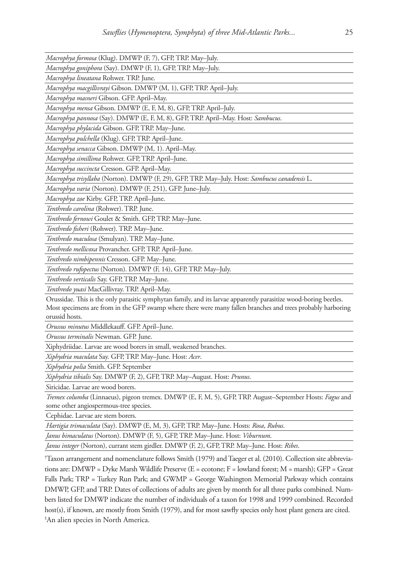| Macrophya formosa (Klug). DMWP (F, 7), GFP, TRP. May-July.                                                        |
|-------------------------------------------------------------------------------------------------------------------|
| Macrophya goniphora (Say). DMWP (F, 1), GFP, TRP. May-July.                                                       |
| Macrophya lineatana Rohwer. TRP. June.                                                                            |
| Macrophya macgillivrayi Gibson. DMWP (M, 1), GFP, TRP. April-July.                                                |
| Macrophya masneri Gibson. GFP. April-May.                                                                         |
| Macrophya mensa Gibson. DMWP (E, F, M, 8), GFP, TRP. April-July.                                                  |
| Macrophya pannosa (Say). DMWP (E, F, M, 8), GFP, TRP. April-May. Host: Sambucus.                                  |
| Macrophya phylacida Gibson. GFP, TRP. May-June.                                                                   |
| Macrophya pulchella (Klug). GFP, TRP. April-June.                                                                 |
| Macrophya senacca Gibson. DMWP (M, 1). April-May.                                                                 |
| Macrophya simillima Rohwer. GFP, TRP. April-June.                                                                 |
| Macrophya succincta Cresson. GFP. April-May.                                                                      |
| Macrophya trisyllaba (Norton). DMWP (F, 29), GFP, TRP. May-July. Host: Sambucus canadensis L.                     |
| Macrophya varia (Norton). DMWP (F, 251), GFP. June-July.                                                          |
| Macrophya zoe Kirby. GFP, TRP. April-June.                                                                        |
| Tenthredo carolina (Rohwer). TRP. June.                                                                           |
| Tenthredo fernowi Goulet & Smith. GFP, TRP. May-June.                                                             |
| Tenthredo fisheri (Rohwer). TRP. May-June.                                                                        |
| Tenthredo maculosa (Smulyan). TRP. May-June.                                                                      |
| Tenthredo mellicoxa Provancher. GFP, TRP. April-June.                                                             |
| Tenthredo nimbipennis Cresson. GFP. May-June.                                                                     |
| Tenthredo rufopectus (Norton). DMWP (F, 14), GFP, TRP. May-July.                                                  |
| Tenthredo verticalis Say. GFP, TRP. May-June.                                                                     |
| Tenthredo yuasi MacGillivray. TRP. April-May.                                                                     |
| Orussidae. This is the only parasitic symphytan family, and its larvae apparently parasitize wood-boring beetles. |
| Most specimens are from in the GFP swamp where there were many fallen branches and trees probably harboring       |
| orussid hosts.                                                                                                    |
| Orussus minutus Middlekauff. GFP. April-June.                                                                     |
| Orussus terminalis Newman. GFP. June.                                                                             |
| Xiphydriidae. Larvae are wood borers in small, weakened branches.                                                 |
| Xiphydria maculata Say. GFP, TRP. May-June. Host: Acer.                                                           |
| Xiphydria polia Smith. GFP. September                                                                             |
| Xiphydria tibialis Say. DMWP (F, 2), GFP, TRP. May-August. Host: Prunus.                                          |
| Siricidae. Larvae are wood borers.                                                                                |
| Tremex columba (Linnaeus), pigeon tremex. DMWP (E, F, M, 5), GFP, TRP. August-September Hosts: Fagus and          |
| some other angiospermous-tree species.                                                                            |
| Cephidae. Larvae are stem borers.                                                                                 |
| Hartigia trimaculata (Say). DMWP (E, M, 3), GFP, TRP. May-June. Hosts: Rosa, Rubus.                               |
| Janus bimaculatus (Norton). DMWP (F, 5), GFP, TRP. May-June. Host: Viburnum.                                      |

*Janus integer* (Norton), currant stem girdler. DMWP (F, 2), GFP, TRP. May–June. Host: *Ribes*.

† Taxon arrangement and nomenclature follows Smith (1979) and Taeger et al. (2010). Collection site abbreviations are: DMWP = Dyke Marsh Wildlife Preserve (E = ecotone; F = lowland forest; M = marsh); GFP = Great Falls Park; TRP = Turkey Run Park; and GWMP = George Washington Memorial Parkway which contains DMWP, GFP, and TRP. Dates of collections of adults are given by month for all three parks combined. Numbers listed for DMWP indicate the number of individuals of a taxon for 1998 and 1999 combined. Recorded host(s), if known, are mostly from Smith (1979), and for most sawfly species only host plant genera are cited. ‡ An alien species in North America.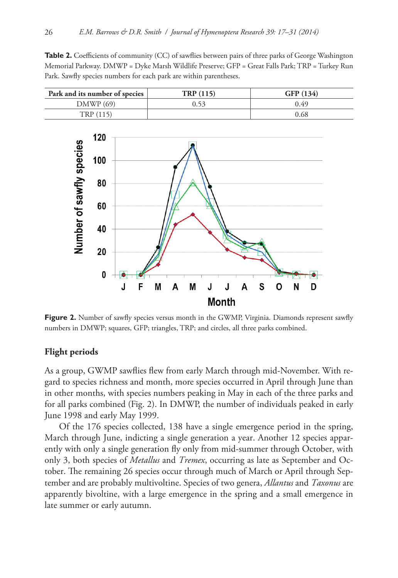**Table 2.** Coefficients of community (CC) of sawflies between pairs of three parks of George Washington Memorial Parkway. DMWP = Dyke Marsh Wildlife Preserve; GFP = Great Falls Park; TRP = Turkey Run Park. Sawfly species numbers for each park are within parentheses.



Figure 2. Number of sawfly species versus month in the GWMP, Virginia. Diamonds represent sawfly numbers in DMWP; squares, GFP; triangles, TRP; and circles, all three parks combined.

### **Flight periods**

As a group, GWMP sawflies flew from early March through mid-November. With regard to species richness and month, more species occurred in April through June than in other months, with species numbers peaking in May in each of the three parks and for all parks combined (Fig. 2). In DMWP, the number of individuals peaked in early June 1998 and early May 1999.

Of the 176 species collected, 138 have a single emergence period in the spring, March through June, indicting a single generation a year. Another 12 species apparently with only a single generation fly only from mid-summer through October, with only 3, both species of *Metallus* and *Tremex*, occurring as late as September and October. The remaining 26 species occur through much of March or April through September and are probably multivoltine. Species of two genera, *Allantus* and *Taxonus* are apparently bivoltine, with a large emergence in the spring and a small emergence in late summer or early autumn.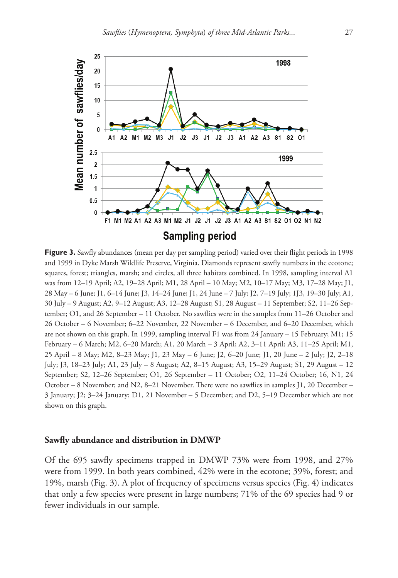

**Figure 3.** Sawfly abundances (mean per day per sampling period) varied over their flight periods in 1998 and 1999 in Dyke Marsh Wildlife Preserve, Virginia. Diamonds represent sawfly numbers in the ecotone; squares, forest; triangles, marsh; and circles, all three habitats combined. In 1998, sampling interval A1 was from 12–19 April; A2, 19–28 April; M1, 28 April – 10 May; M2, 10–17 May; M3, 17–28 May; J1, 28 May – 6 June; J1, 6–14 June; J3, 14–24 June; J1, 24 June – 7 July; J2, 7–19 July; 1J3, 19–30 July; A1, 30 July – 9 August; A2, 9–12 August; A3, 12–28 August; S1, 28 August – 11 September; S2, 11–26 September; O1, and 26 September – 11 October. No sawflies were in the samples from 11–26 October and 26 October – 6 November; 6–22 November, 22 November – 6 December, and 6–20 December, which are not shown on this graph. In 1999, sampling interval F1 was from 24 January – 15 February; M1; 15 February – 6 March; M2, 6–20 March; A1, 20 March – 3 April; A2, 3–11 April; A3, 11–25 April; M1, 25 April – 8 May; M2, 8–23 May; J1, 23 May – 6 June; J2, 6–20 June; J1, 20 June – 2 July; J2, 2–18 July; J3, 18–23 July; A1, 23 July – 8 August; A2, 8–15 August; A3, 15–29 August; S1, 29 August – 12 September; S2, 12–26 September; O1, 26 September – 11 October; O2, 11–24 October; 16, N1, 24 October – 8 November; and N2, 8–21 November. There were no sawflies in samples J1, 20 December – 3 January; J2; 3–24 January; D1, 21 November – 5 December; and D2, 5–19 December which are not shown on this graph.

# **Sawfly abundance and distribution in DMWP**

Of the 695 sawfly specimens trapped in DMWP 73% were from 1998, and 27% were from 1999. In both years combined, 42% were in the ecotone; 39%, forest; and 19%, marsh (Fig. 3). A plot of frequency of specimens versus species (Fig. 4) indicates that only a few species were present in large numbers; 71% of the 69 species had 9 or fewer individuals in our sample.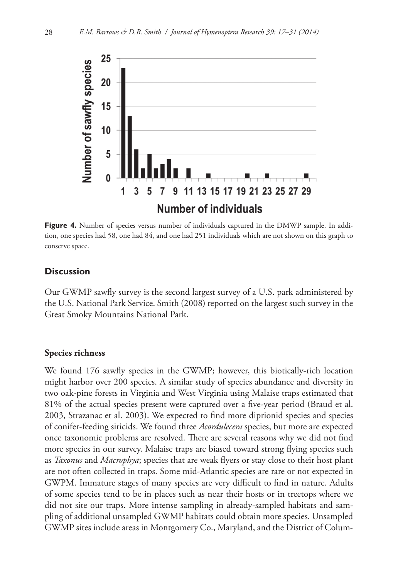

**Figure 4.** Number of species versus number of individuals captured in the DMWP sample. In addition, one species had 58, one had 84, and one had 251 individuals which are not shown on this graph to conserve space.

## **Discussion**

Our GWMP sawfly survey is the second largest survey of a U.S. park administered by the U.S. National Park Service. Smith (2008) reported on the largest such survey in the Great Smoky Mountains National Park.

### **Species richness**

We found 176 sawfly species in the GWMP; however, this biotically-rich location might harbor over 200 species. A similar study of species abundance and diversity in two oak-pine forests in Virginia and West Virginia using Malaise traps estimated that 81% of the actual species present were captured over a five-year period (Braud et al. 2003, Strazanac et al. 2003). We expected to find more diprionid species and species of conifer-feeding siricids. We found three *Acordulecera* species, but more are expected once taxonomic problems are resolved. There are several reasons why we did not find more species in our survey. Malaise traps are biased toward strong flying species such as *Taxonus* and *Macrophya*; species that are weak flyers or stay close to their host plant are not often collected in traps. Some mid-Atlantic species are rare or not expected in GWPM. Immature stages of many species are very difficult to find in nature. Adults of some species tend to be in places such as near their hosts or in treetops where we did not site our traps. More intense sampling in already-sampled habitats and sampling of additional unsampled GWMP habitats could obtain more species. Unsampled GWMP sites include areas in Montgomery Co., Maryland, and the District of Colum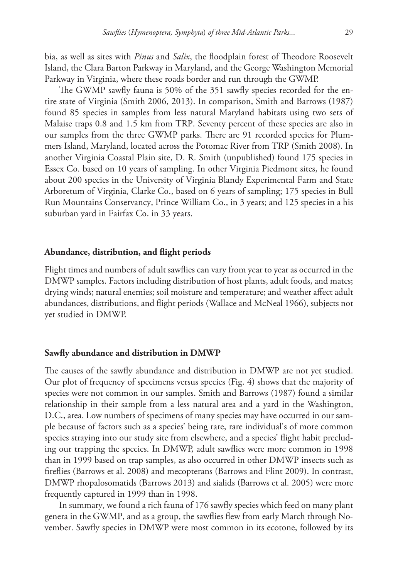bia, as well as sites with *Pinus* and *Salix*, the floodplain forest of Theodore Roosevelt Island, the Clara Barton Parkway in Maryland, and the George Washington Memorial Parkway in Virginia, where these roads border and run through the GWMP.

The GWMP sawfly fauna is 50% of the 351 sawfly species recorded for the entire state of Virginia (Smith 2006, 2013). In comparison, Smith and Barrows (1987) found 85 species in samples from less natural Maryland habitats using two sets of Malaise traps 0.8 and 1.5 km from TRP. Seventy percent of these species are also in our samples from the three GWMP parks. There are 91 recorded species for Plummers Island, Maryland, located across the Potomac River from TRP (Smith 2008). In another Virginia Coastal Plain site, D. R. Smith (unpublished) found 175 species in Essex Co. based on 10 years of sampling. In other Virginia Piedmont sites, he found about 200 species in the University of Virginia Blandy Experimental Farm and State Arboretum of Virginia, Clarke Co., based on 6 years of sampling; 175 species in Bull Run Mountains Conservancy, Prince William Co., in 3 years; and 125 species in a his suburban yard in Fairfax Co. in 33 years.

# **Abundance, distribution, and flight periods**

Flight times and numbers of adult sawflies can vary from year to year as occurred in the DMWP samples. Factors including distribution of host plants, adult foods, and mates; drying winds; natural enemies; soil moisture and temperature; and weather affect adult abundances, distributions, and flight periods (Wallace and McNeal 1966), subjects not yet studied in DMWP.

### **Sawfly abundance and distribution in DMWP**

The causes of the sawfly abundance and distribution in DMWP are not yet studied. Our plot of frequency of specimens versus species (Fig. 4) shows that the majority of species were not common in our samples. Smith and Barrows (1987) found a similar relationship in their sample from a less natural area and a yard in the Washington, D.C., area. Low numbers of specimens of many species may have occurred in our sample because of factors such as a species' being rare, rare individual's of more common species straying into our study site from elsewhere, and a species' flight habit precluding our trapping the species. In DMWP, adult sawflies were more common in 1998 than in 1999 based on trap samples, as also occurred in other DMWP insects such as fireflies (Barrows et al. 2008) and mecopterans (Barrows and Flint 2009). In contrast, DMWP rhopalosomatids (Barrows 2013) and sialids (Barrows et al. 2005) were more frequently captured in 1999 than in 1998.

In summary, we found a rich fauna of 176 sawfly species which feed on many plant genera in the GWMP, and as a group, the sawflies flew from early March through November. Sawfly species in DMWP were most common in its ecotone, followed by its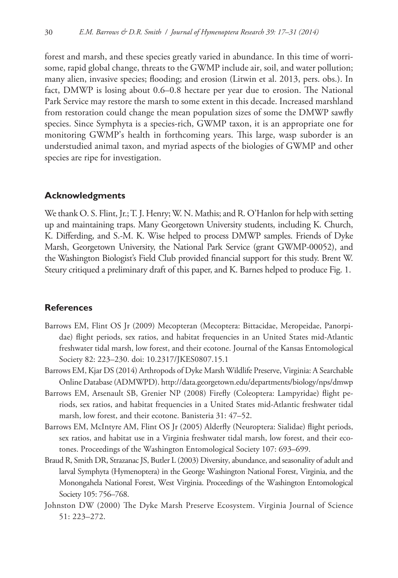forest and marsh, and these species greatly varied in abundance. In this time of worrisome, rapid global change, threats to the GWMP include air, soil, and water pollution; many alien, invasive species; flooding; and erosion (Litwin et al. 2013, pers. obs.). In fact, DMWP is losing about 0.6–0.8 hectare per year due to erosion. The National Park Service may restore the marsh to some extent in this decade. Increased marshland from restoration could change the mean population sizes of some the DMWP sawfly species. Since Symphyta is a species-rich, GWMP taxon, it is an appropriate one for monitoring GWMP's health in forthcoming years. This large, wasp suborder is an understudied animal taxon, and myriad aspects of the biologies of GWMP and other species are ripe for investigation.

# **Acknowledgments**

We thank O. S. Flint, Jr.; T. J. Henry; W. N. Mathis; and R. O'Hanlon for help with setting up and maintaining traps. Many Georgetown University students, including K. Church, K. Differding, and S.-M. K. Wise helped to process DMWP samples. Friends of Dyke Marsh, Georgetown University, the National Park Service (grant GWMP-00052), and the Washington Biologist's Field Club provided financial support for this study. Brent W. Steury critiqued a preliminary draft of this paper, and K. Barnes helped to produce Fig. 1.

# **References**

- Barrows EM, Flint OS Jr (2009) Mecopteran (Mecoptera: Bittacidae, Meropeidae, Panorpidae) flight periods, sex ratios, and habitat frequencies in an United States mid-Atlantic freshwater tidal marsh, low forest, and their ecotone. Journal of the Kansas Entomological Society 82: 223–230. [doi: 10.2317/JKES0807.15.1](http://dx.doi.org/10.2317/JKES0807.15.1)
- Barrows EM, Kjar DS (2014) Arthropods of Dyke Marsh Wildlife Preserve, Virginia: A Searchable Online Database (ADMWPD).<http://data.georgetown.edu/departments/biology/nps/dmwp>
- Barrows EM, Arsenault SB, Grenier NP (2008) Firefly (Coleoptera: Lampyridae) flight periods, sex ratios, and habitat frequencies in a United States mid-Atlantic freshwater tidal marsh, low forest, and their ecotone. Banisteria 31: 47–52.
- Barrows EM, McIntyre AM, Flint OS Jr (2005) Alderfly (Neuroptera: Sialidae) flight periods, sex ratios, and habitat use in a Virginia freshwater tidal marsh, low forest, and their ecotones. Proceedings of the Washington Entomological Society 107: 693–699.
- Braud R, Smith DR, Strazanac JS, Butler L (2003) Diversity, abundance, and seasonality of adult and larval Symphyta (Hymenoptera) in the George Washington National Forest, Virginia, and the Monongahela National Forest, West Virginia. Proceedings of the Washington Entomological Society 105: 756–768.
- Johnston DW (2000) The Dyke Marsh Preserve Ecosystem. Virginia Journal of Science 51: 223–272.